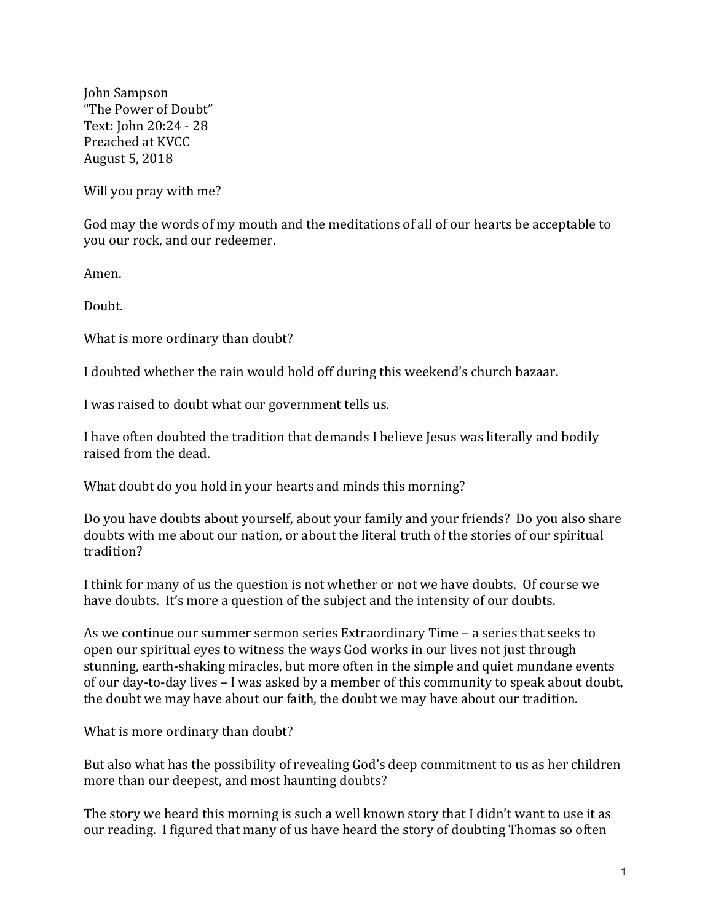John Sampson "The Power of Doubt" Text: John 20:24 - 28 Preached at KVCC August 5, 2018

Will you pray with me?

God may the words of my mouth and the meditations of all of our hearts be acceptable to you our rock, and our redeemer.

Amen.

Doubt.

What is more ordinary than doubt?

I doubted whether the rain would hold off during this weekend's church bazaar.

I was raised to doubt what our government tells us.

I have often doubted the tradition that demands I believe Jesus was literally and bodily raised from the dead.

What doubt do you hold in your hearts and minds this morning?

Do you have doubts about yourself, about your family and your friends? Do you also share doubts with me about our nation, or about the literal truth of the stories of our spiritual tradition?

I think for many of us the question is not whether or not we have doubts. Of course we have doubts. It's more a question of the subject and the intensity of our doubts.

As we continue our summer sermon series Extraordinary Time - a series that seeks to open our spiritual eyes to witness the ways God works in our lives not just through stunning, earth-shaking miracles, but more often in the simple and quiet mundane events of our day-to-day lives  $-1$  was asked by a member of this community to speak about doubt, the doubt we may have about our faith, the doubt we may have about our tradition.

What is more ordinary than doubt?

But also what has the possibility of revealing God's deep commitment to us as her children more than our deepest, and most haunting doubts?

The story we heard this morning is such a well known story that I didn't want to use it as our reading. I figured that many of us have heard the story of doubting Thomas so often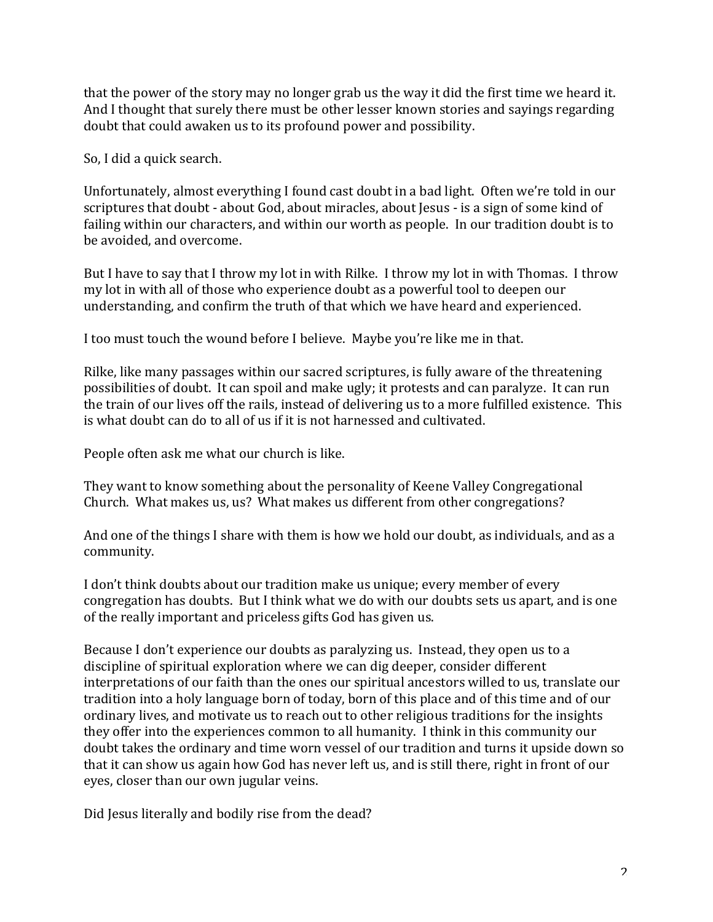that the power of the story may no longer grab us the way it did the first time we heard it. And I thought that surely there must be other lesser known stories and sayings regarding doubt that could awaken us to its profound power and possibility.

So, I did a quick search.

Unfortunately, almost everything I found cast doubt in a bad light. Often we're told in our scriptures that doubt - about God, about miracles, about Jesus - is a sign of some kind of failing within our characters, and within our worth as people. In our tradition doubt is to be avoided, and overcome.

But I have to say that I throw my lot in with Rilke. I throw my lot in with Thomas. I throw my lot in with all of those who experience doubt as a powerful tool to deepen our understanding, and confirm the truth of that which we have heard and experienced.

I too must touch the wound before I believe. Maybe you're like me in that.

Rilke, like many passages within our sacred scriptures, is fully aware of the threatening possibilities of doubt. It can spoil and make ugly; it protests and can paralyze. It can run the train of our lives off the rails, instead of delivering us to a more fulfilled existence. This is what doubt can do to all of us if it is not harnessed and cultivated.

People often ask me what our church is like.

They want to know something about the personality of Keene Valley Congregational Church. What makes us, us? What makes us different from other congregations?

And one of the things I share with them is how we hold our doubt, as individuals, and as a community.

I don't think doubts about our tradition make us unique; every member of every congregation has doubts. But I think what we do with our doubts sets us apart, and is one of the really important and priceless gifts God has given us.

Because I don't experience our doubts as paralyzing us. Instead, they open us to a discipline of spiritual exploration where we can dig deeper, consider different interpretations of our faith than the ones our spiritual ancestors willed to us, translate our tradition into a holy language born of today, born of this place and of this time and of our ordinary lives, and motivate us to reach out to other religious traditions for the insights they offer into the experiences common to all humanity. I think in this community our doubt takes the ordinary and time worn vessel of our tradition and turns it upside down so that it can show us again how God has never left us, and is still there, right in front of our eyes, closer than our own jugular veins.

Did Jesus literally and bodily rise from the dead?